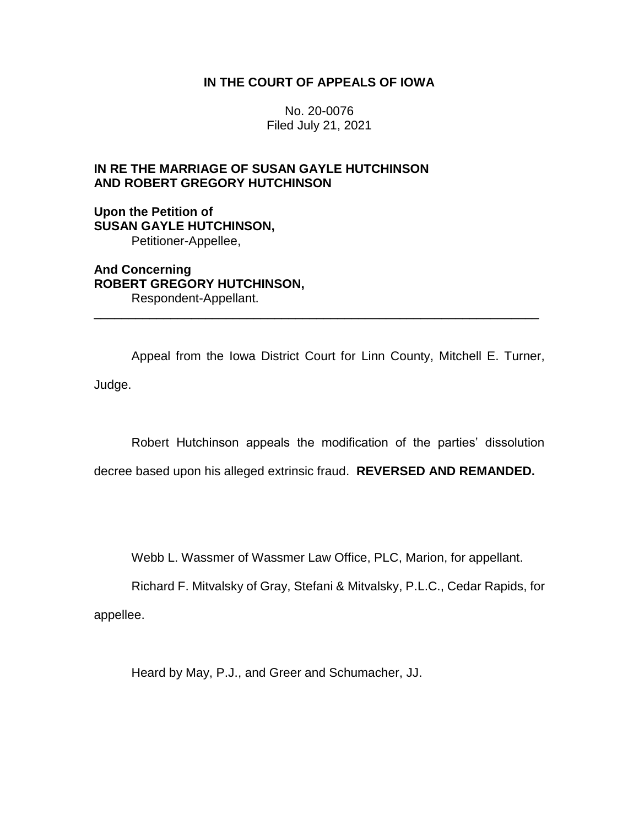## **IN THE COURT OF APPEALS OF IOWA**

No. 20-0076 Filed July 21, 2021

# **IN RE THE MARRIAGE OF SUSAN GAYLE HUTCHINSON AND ROBERT GREGORY HUTCHINSON**

### **Upon the Petition of SUSAN GAYLE HUTCHINSON,** Petitioner-Appellee,

**And Concerning ROBERT GREGORY HUTCHINSON,** Respondent-Appellant.

Appeal from the Iowa District Court for Linn County, Mitchell E. Turner, Judge.

\_\_\_\_\_\_\_\_\_\_\_\_\_\_\_\_\_\_\_\_\_\_\_\_\_\_\_\_\_\_\_\_\_\_\_\_\_\_\_\_\_\_\_\_\_\_\_\_\_\_\_\_\_\_\_\_\_\_\_\_\_\_\_\_

Robert Hutchinson appeals the modification of the parties' dissolution

decree based upon his alleged extrinsic fraud. **REVERSED AND REMANDED.**

Webb L. Wassmer of Wassmer Law Office, PLC, Marion, for appellant.

Richard F. Mitvalsky of Gray, Stefani & Mitvalsky, P.L.C., Cedar Rapids, for

appellee.

Heard by May, P.J., and Greer and Schumacher, JJ.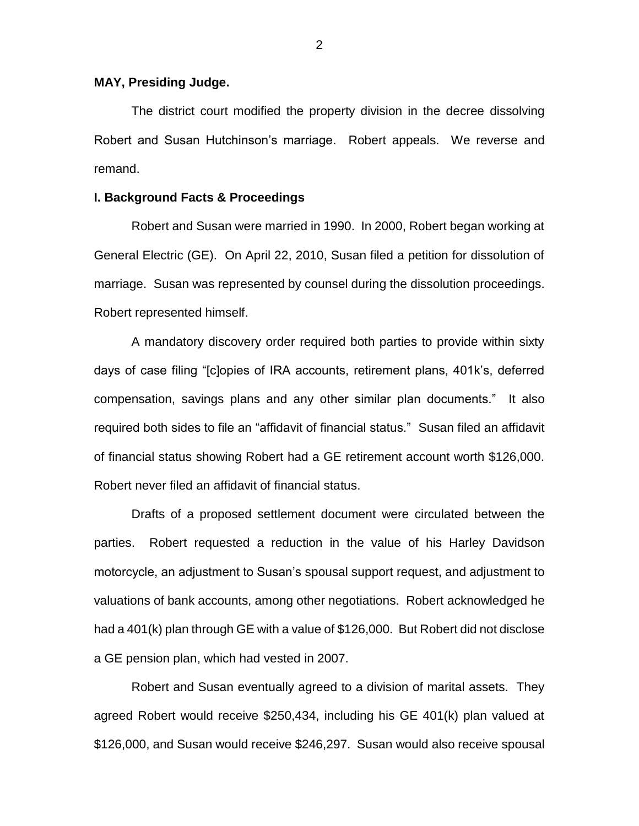### **MAY, Presiding Judge.**

The district court modified the property division in the decree dissolving Robert and Susan Hutchinson's marriage. Robert appeals. We reverse and remand.

### **I. Background Facts & Proceedings**

Robert and Susan were married in 1990. In 2000, Robert began working at General Electric (GE). On April 22, 2010, Susan filed a petition for dissolution of marriage. Susan was represented by counsel during the dissolution proceedings. Robert represented himself.

A mandatory discovery order required both parties to provide within sixty days of case filing "[c]opies of IRA accounts, retirement plans, 401k's, deferred compensation, savings plans and any other similar plan documents." It also required both sides to file an "affidavit of financial status." Susan filed an affidavit of financial status showing Robert had a GE retirement account worth \$126,000. Robert never filed an affidavit of financial status.

Drafts of a proposed settlement document were circulated between the parties. Robert requested a reduction in the value of his Harley Davidson motorcycle, an adjustment to Susan's spousal support request, and adjustment to valuations of bank accounts, among other negotiations. Robert acknowledged he had a 401(k) plan through GE with a value of \$126,000. But Robert did not disclose a GE pension plan, which had vested in 2007.

Robert and Susan eventually agreed to a division of marital assets. They agreed Robert would receive \$250,434, including his GE 401(k) plan valued at \$126,000, and Susan would receive \$246,297. Susan would also receive spousal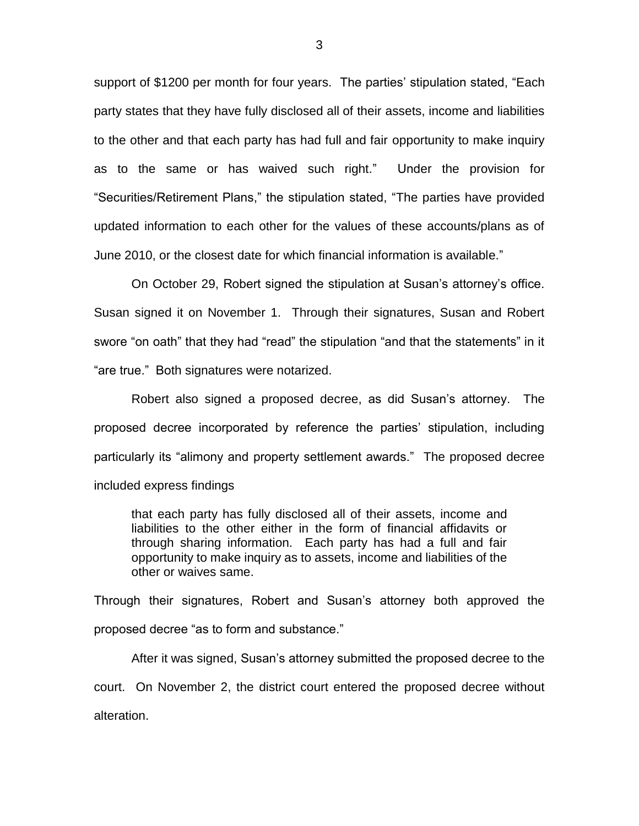support of \$1200 per month for four years. The parties' stipulation stated, "Each party states that they have fully disclosed all of their assets, income and liabilities to the other and that each party has had full and fair opportunity to make inquiry as to the same or has waived such right." Under the provision for "Securities/Retirement Plans," the stipulation stated, "The parties have provided updated information to each other for the values of these accounts/plans as of June 2010, or the closest date for which financial information is available."

On October 29, Robert signed the stipulation at Susan's attorney's office. Susan signed it on November 1. Through their signatures, Susan and Robert swore "on oath" that they had "read" the stipulation "and that the statements" in it "are true." Both signatures were notarized.

Robert also signed a proposed decree, as did Susan's attorney. The proposed decree incorporated by reference the parties' stipulation, including particularly its "alimony and property settlement awards." The proposed decree included express findings

that each party has fully disclosed all of their assets, income and liabilities to the other either in the form of financial affidavits or through sharing information. Each party has had a full and fair opportunity to make inquiry as to assets, income and liabilities of the other or waives same.

Through their signatures, Robert and Susan's attorney both approved the proposed decree "as to form and substance."

After it was signed, Susan's attorney submitted the proposed decree to the court. On November 2, the district court entered the proposed decree without alteration.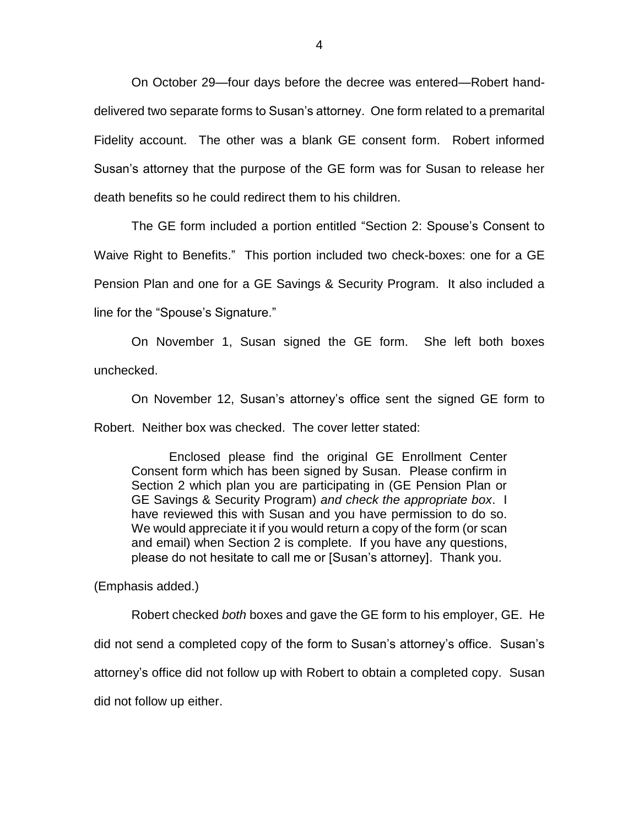On October 29—four days before the decree was entered—Robert handdelivered two separate forms to Susan's attorney. One form related to a premarital Fidelity account. The other was a blank GE consent form. Robert informed Susan's attorney that the purpose of the GE form was for Susan to release her death benefits so he could redirect them to his children.

The GE form included a portion entitled "Section 2: Spouse's Consent to Waive Right to Benefits." This portion included two check-boxes: one for a GE Pension Plan and one for a GE Savings & Security Program. It also included a line for the "Spouse's Signature."

On November 1, Susan signed the GE form. She left both boxes unchecked.

On November 12, Susan's attorney's office sent the signed GE form to Robert. Neither box was checked. The cover letter stated:

Enclosed please find the original GE Enrollment Center Consent form which has been signed by Susan. Please confirm in Section 2 which plan you are participating in (GE Pension Plan or GE Savings & Security Program) *and check the appropriate box*. I have reviewed this with Susan and you have permission to do so. We would appreciate it if you would return a copy of the form (or scan and email) when Section 2 is complete. If you have any questions, please do not hesitate to call me or [Susan's attorney]. Thank you.

(Emphasis added.)

Robert checked *both* boxes and gave the GE form to his employer, GE. He did not send a completed copy of the form to Susan's attorney's office. Susan's attorney's office did not follow up with Robert to obtain a completed copy. Susan did not follow up either.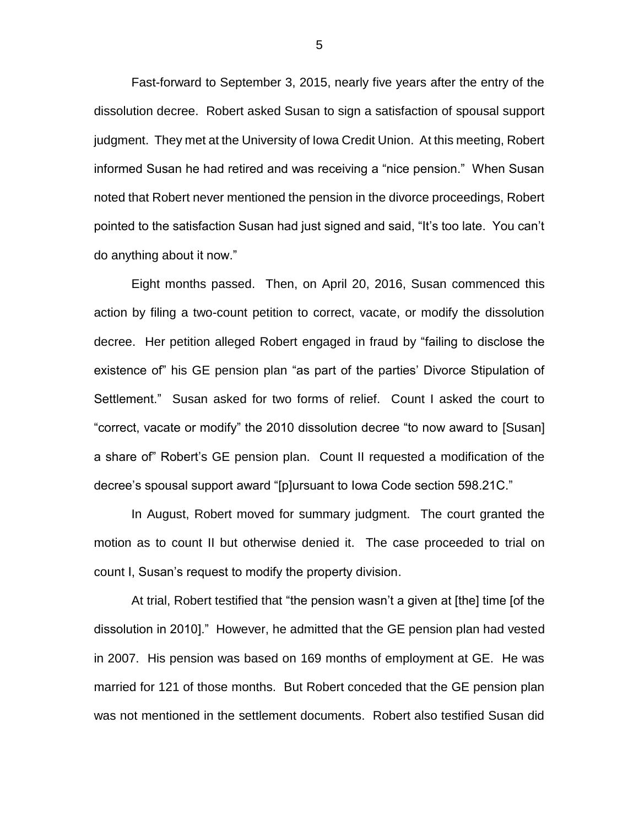Fast-forward to September 3, 2015, nearly five years after the entry of the dissolution decree. Robert asked Susan to sign a satisfaction of spousal support judgment. They met at the University of Iowa Credit Union. At this meeting, Robert informed Susan he had retired and was receiving a "nice pension." When Susan noted that Robert never mentioned the pension in the divorce proceedings, Robert pointed to the satisfaction Susan had just signed and said, "It's too late. You can't do anything about it now."

Eight months passed. Then, on April 20, 2016, Susan commenced this action by filing a two-count petition to correct, vacate, or modify the dissolution decree. Her petition alleged Robert engaged in fraud by "failing to disclose the existence of" his GE pension plan "as part of the parties' Divorce Stipulation of Settlement." Susan asked for two forms of relief. Count I asked the court to "correct, vacate or modify" the 2010 dissolution decree "to now award to [Susan] a share of" Robert's GE pension plan. Count II requested a modification of the decree's spousal support award "[p]ursuant to Iowa Code section 598.21C."

In August, Robert moved for summary judgment. The court granted the motion as to count II but otherwise denied it. The case proceeded to trial on count I, Susan's request to modify the property division.

At trial, Robert testified that "the pension wasn't a given at [the] time [of the dissolution in 2010]." However, he admitted that the GE pension plan had vested in 2007. His pension was based on 169 months of employment at GE. He was married for 121 of those months. But Robert conceded that the GE pension plan was not mentioned in the settlement documents. Robert also testified Susan did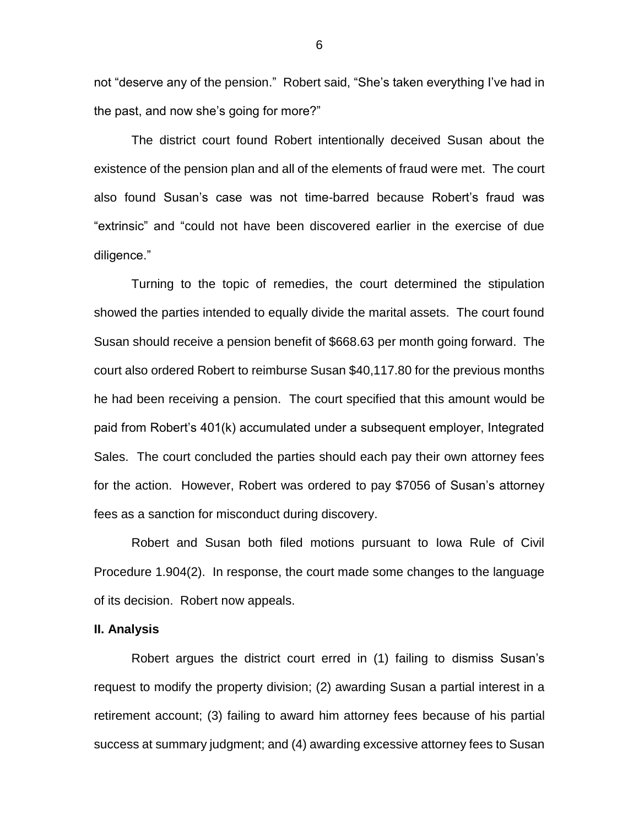not "deserve any of the pension." Robert said, "She's taken everything I've had in the past, and now she's going for more?"

The district court found Robert intentionally deceived Susan about the existence of the pension plan and all of the elements of fraud were met. The court also found Susan's case was not time-barred because Robert's fraud was "extrinsic" and "could not have been discovered earlier in the exercise of due diligence."

Turning to the topic of remedies, the court determined the stipulation showed the parties intended to equally divide the marital assets. The court found Susan should receive a pension benefit of \$668.63 per month going forward. The court also ordered Robert to reimburse Susan \$40,117.80 for the previous months he had been receiving a pension. The court specified that this amount would be paid from Robert's 401(k) accumulated under a subsequent employer, Integrated Sales. The court concluded the parties should each pay their own attorney fees for the action. However, Robert was ordered to pay \$7056 of Susan's attorney fees as a sanction for misconduct during discovery.

Robert and Susan both filed motions pursuant to Iowa Rule of Civil Procedure 1.904(2). In response, the court made some changes to the language of its decision. Robert now appeals.

### **II. Analysis**

Robert argues the district court erred in (1) failing to dismiss Susan's request to modify the property division; (2) awarding Susan a partial interest in a retirement account; (3) failing to award him attorney fees because of his partial success at summary judgment; and (4) awarding excessive attorney fees to Susan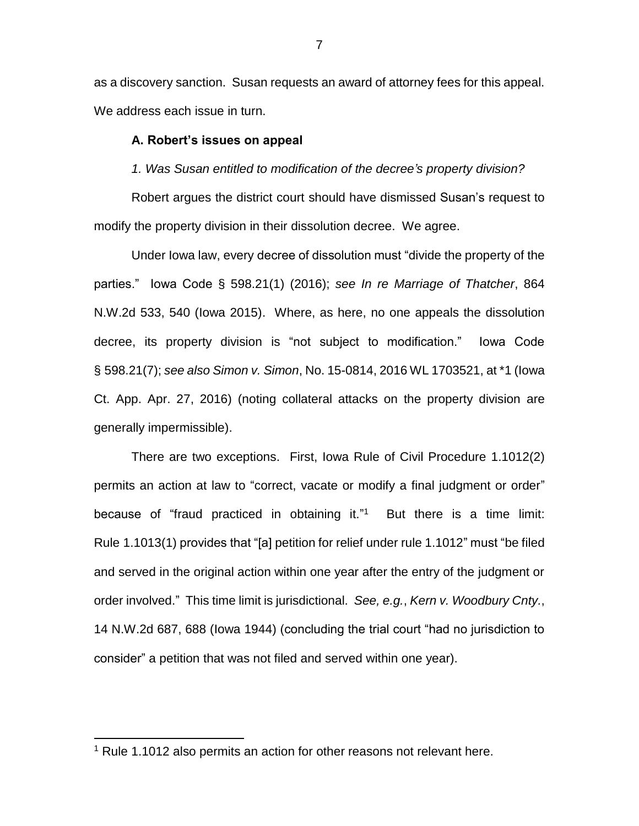as a discovery sanction. Susan requests an award of attorney fees for this appeal. We address each issue in turn.

#### **A. Robert's issues on appeal**

*1. Was Susan entitled to modification of the decree's property division?*

Robert argues the district court should have dismissed Susan's request to modify the property division in their dissolution decree. We agree.

Under Iowa law, every decree of dissolution must "divide the property of the parties." Iowa Code § 598.21(1) (2016); *see In re Marriage of Thatcher*, 864 N.W.2d 533, 540 (Iowa 2015). Where, as here, no one appeals the dissolution decree, its property division is "not subject to modification." Iowa Code § 598.21(7); *see also Simon v. Simon*, No. 15-0814, 2016 WL 1703521, at \*1 (Iowa Ct. App. Apr. 27, 2016) (noting collateral attacks on the property division are generally impermissible).

There are two exceptions. First, Iowa Rule of Civil Procedure 1.1012(2) permits an action at law to "correct, vacate or modify a final judgment or order" because of "fraud practiced in obtaining it."<sup>1</sup> But there is a time limit: Rule 1.1013(1) provides that "[a] petition for relief under rule 1.1012" must "be filed and served in the original action within one year after the entry of the judgment or order involved." This time limit is jurisdictional. *See, e.g.*, *Kern v. Woodbury Cnty.*, 14 N.W.2d 687, 688 (Iowa 1944) (concluding the trial court "had no jurisdiction to consider" a petition that was not filed and served within one year).

 $\overline{a}$ 

<sup>&</sup>lt;sup>1</sup> Rule 1.1012 also permits an action for other reasons not relevant here.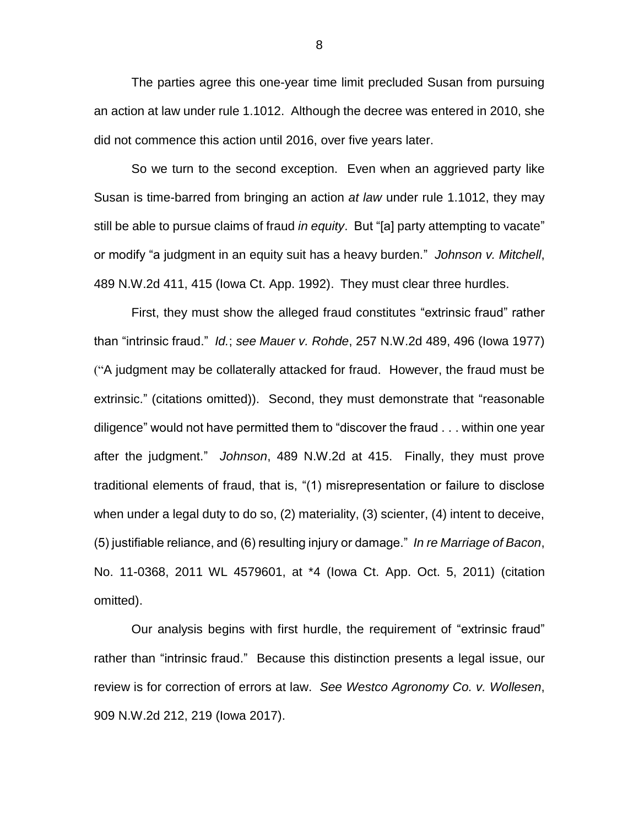The parties agree this one-year time limit precluded Susan from pursuing an action at law under rule 1.1012. Although the decree was entered in 2010, she did not commence this action until 2016, over five years later.

So we turn to the second exception. Even when an aggrieved party like Susan is time-barred from bringing an action *at law* under rule 1.1012, they may still be able to pursue claims of fraud *in equity*. But "[a] party attempting to vacate" or modify "a judgment in an equity suit has a heavy burden." *Johnson v. Mitchell*, 489 N.W.2d 411, 415 (Iowa Ct. App. 1992). They must clear three hurdles.

First, they must show the alleged fraud constitutes "extrinsic fraud" rather than "intrinsic fraud." *Id.*; *see Mauer v. Rohde*, 257 N.W.2d 489, 496 (Iowa 1977) ("A judgment may be collaterally attacked for fraud. However, the fraud must be extrinsic." (citations omitted)). Second, they must demonstrate that "reasonable diligence" would not have permitted them to "discover the fraud . . . within one year after the judgment." *Johnson*, 489 N.W.2d at 415. Finally, they must prove traditional elements of fraud, that is, "(1) misrepresentation or failure to disclose when under a legal duty to do so, (2) materiality, (3) scienter, (4) intent to deceive, (5) justifiable reliance, and (6) resulting injury or damage." *In re Marriage of Bacon*, No. 11-0368, 2011 WL 4579601, at \*4 (Iowa Ct. App. Oct. 5, 2011) (citation omitted).

Our analysis begins with first hurdle, the requirement of "extrinsic fraud" rather than "intrinsic fraud." Because this distinction presents a legal issue, our review is for correction of errors at law. *See Westco Agronomy Co. v. Wollesen*, 909 N.W.2d 212, 219 (Iowa 2017).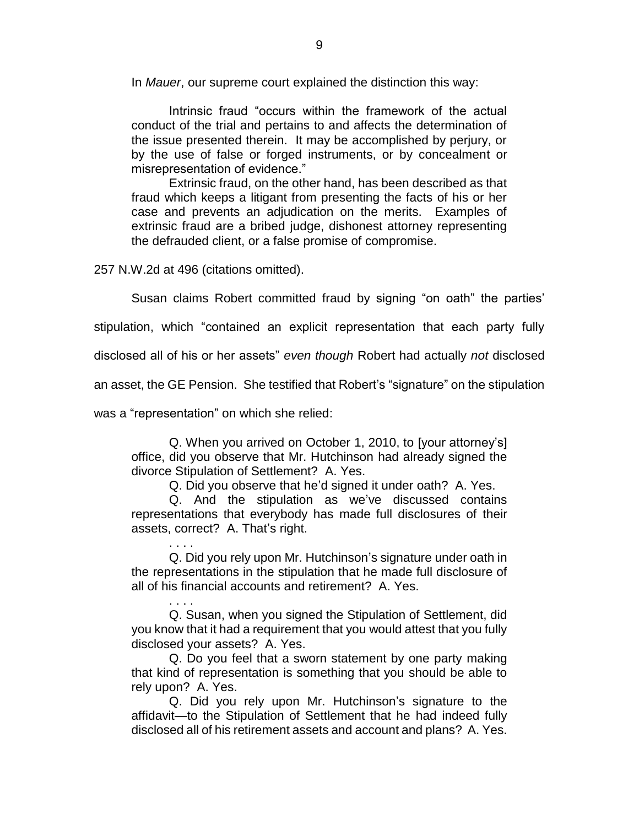In *Mauer*, our supreme court explained the distinction this way:

Intrinsic fraud "occurs within the framework of the actual conduct of the trial and pertains to and affects the determination of the issue presented therein. It may be accomplished by perjury, or by the use of false or forged instruments, or by concealment or misrepresentation of evidence."

Extrinsic fraud, on the other hand, has been described as that fraud which keeps a litigant from presenting the facts of his or her case and prevents an adjudication on the merits. Examples of extrinsic fraud are a bribed judge, dishonest attorney representing the defrauded client, or a false promise of compromise.

257 N.W.2d at 496 (citations omitted).

Susan claims Robert committed fraud by signing "on oath" the parties'

stipulation, which "contained an explicit representation that each party fully

disclosed all of his or her assets" *even though* Robert had actually *not* disclosed

an asset, the GE Pension. She testified that Robert's "signature" on the stipulation

was a "representation" on which she relied:

Q. When you arrived on October 1, 2010, to [your attorney's] office, did you observe that Mr. Hutchinson had already signed the divorce Stipulation of Settlement? A. Yes.

Q. Did you observe that he'd signed it under oath? A. Yes.

Q. And the stipulation as we've discussed contains representations that everybody has made full disclosures of their assets, correct? A. That's right.

. . . . Q. Did you rely upon Mr. Hutchinson's signature under oath in the representations in the stipulation that he made full disclosure of all of his financial accounts and retirement? A. Yes.

. . . . Q. Susan, when you signed the Stipulation of Settlement, did you know that it had a requirement that you would attest that you fully disclosed your assets? A. Yes.

Q. Do you feel that a sworn statement by one party making that kind of representation is something that you should be able to rely upon? A. Yes.

Q. Did you rely upon Mr. Hutchinson's signature to the affidavit—to the Stipulation of Settlement that he had indeed fully disclosed all of his retirement assets and account and plans? A. Yes.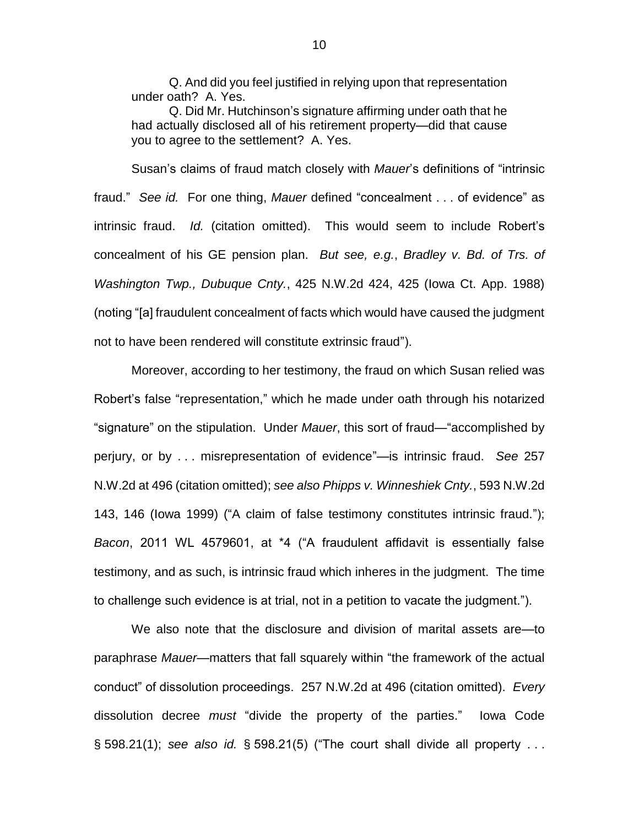Q. And did you feel justified in relying upon that representation under oath? A. Yes.

Q. Did Mr. Hutchinson's signature affirming under oath that he had actually disclosed all of his retirement property—did that cause you to agree to the settlement? A. Yes.

Susan's claims of fraud match closely with *Mauer*'s definitions of "intrinsic fraud." *See id.* For one thing, *Mauer* defined "concealment . . . of evidence" as intrinsic fraud. *Id.* (citation omitted). This would seem to include Robert's concealment of his GE pension plan. *But see, e.g.*, *Bradley v. Bd. of Trs. of Washington Twp., Dubuque Cnty.*, 425 N.W.2d 424, 425 (Iowa Ct. App. 1988) (noting "[a] fraudulent concealment of facts which would have caused the judgment not to have been rendered will constitute extrinsic fraud").

Moreover, according to her testimony, the fraud on which Susan relied was Robert's false "representation," which he made under oath through his notarized "signature" on the stipulation. Under *Mauer*, this sort of fraud—"accomplished by perjury, or by . . . misrepresentation of evidence"—is intrinsic fraud. *See* 257 N.W.2d at 496 (citation omitted); *see also Phipps v. Winneshiek Cnty.*, 593 N.W.2d 143, 146 (Iowa 1999) ("A claim of false testimony constitutes intrinsic fraud."); *Bacon*, 2011 WL 4579601, at \*4 ("A fraudulent affidavit is essentially false testimony, and as such, is intrinsic fraud which inheres in the judgment. The time to challenge such evidence is at trial, not in a petition to vacate the judgment.").

We also note that the disclosure and division of marital assets are—to paraphrase *Mauer*—matters that fall squarely within "the framework of the actual conduct" of dissolution proceedings. 257 N.W.2d at 496 (citation omitted). *Every* dissolution decree *must* "divide the property of the parties." Iowa Code § 598.21(1); *see also id.* § 598.21(5) ("The court shall divide all property . . .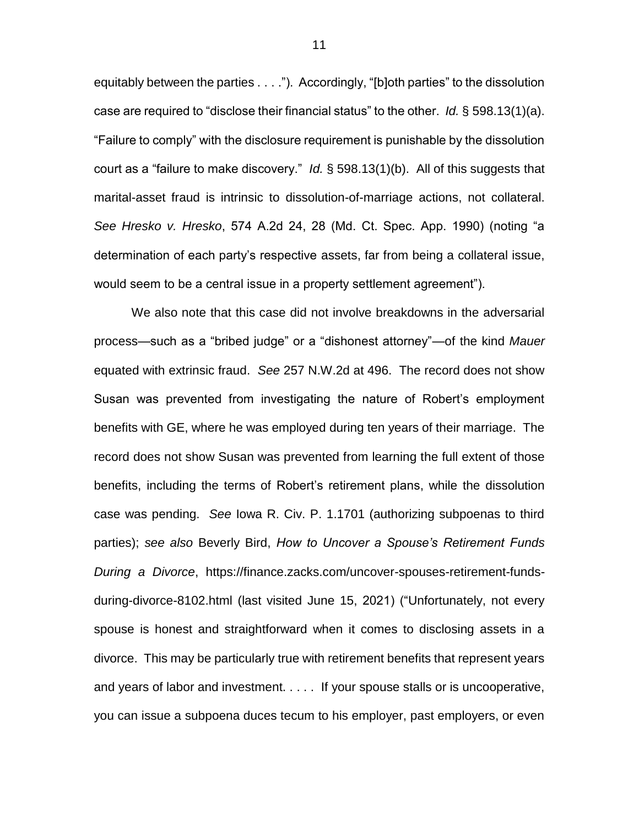equitably between the parties . . . ."). Accordingly, "[b]oth parties" to the dissolution case are required to "disclose their financial status" to the other. *Id.* § 598.13(1)(a). "Failure to comply" with the disclosure requirement is punishable by the dissolution court as a "failure to make discovery." *Id.* § 598.13(1)(b). All of this suggests that marital-asset fraud is intrinsic to dissolution-of-marriage actions, not collateral. *See Hresko v. Hresko*, 574 A.2d 24, 28 (Md. Ct. Spec. App. 1990) (noting "a determination of each party's respective assets, far from being a collateral issue, would seem to be a central issue in a property settlement agreement").

We also note that this case did not involve breakdowns in the adversarial process—such as a "bribed judge" or a "dishonest attorney"—of the kind *Mauer*  equated with extrinsic fraud. *See* 257 N.W.2d at 496. The record does not show Susan was prevented from investigating the nature of Robert's employment benefits with GE, where he was employed during ten years of their marriage. The record does not show Susan was prevented from learning the full extent of those benefits, including the terms of Robert's retirement plans, while the dissolution case was pending. *See* Iowa R. Civ. P. 1.1701 (authorizing subpoenas to third parties); *see also* Beverly Bird, *How to Uncover a Spouse's Retirement Funds During a Divorce*, https://finance.zacks.com/uncover-spouses-retirement-fundsduring-divorce-8102.html (last visited June 15, 2021) ("Unfortunately, not every spouse is honest and straightforward when it comes to disclosing assets in a divorce. This may be particularly true with retirement benefits that represent years and years of labor and investment. . . . . If your spouse stalls or is uncooperative, you can issue a subpoena duces tecum to his employer, past employers, or even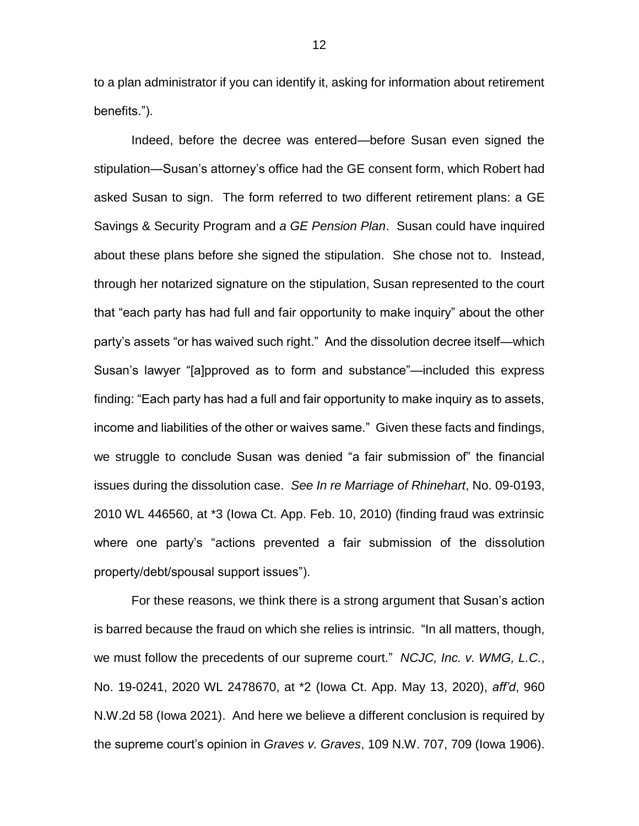to a plan administrator if you can identify it, asking for information about retirement benefits.").

Indeed, before the decree was entered—before Susan even signed the stipulation—Susan's attorney's office had the GE consent form, which Robert had asked Susan to sign. The form referred to two different retirement plans: a GE Savings & Security Program and *a GE Pension Plan*. Susan could have inquired about these plans before she signed the stipulation. She chose not to. Instead, through her notarized signature on the stipulation, Susan represented to the court that "each party has had full and fair opportunity to make inquiry" about the other party's assets "or has waived such right." And the dissolution decree itself—which Susan's lawyer "[a]pproved as to form and substance"—included this express finding: "Each party has had a full and fair opportunity to make inquiry as to assets, income and liabilities of the other or waives same." Given these facts and findings, we struggle to conclude Susan was denied "a fair submission of" the financial issues during the dissolution case. *See In re Marriage of Rhinehart*, No. 09-0193, 2010 WL 446560, at \*3 (Iowa Ct. App. Feb. 10, 2010) (finding fraud was extrinsic where one party's "actions prevented a fair submission of the dissolution property/debt/spousal support issues").

For these reasons, we think there is a strong argument that Susan's action is barred because the fraud on which she relies is intrinsic. "In all matters, though, we must follow the precedents of our supreme court." *NCJC, Inc. v. WMG, L.C.*, No. 19-0241, 2020 WL 2478670, at \*2 (Iowa Ct. App. May 13, 2020), *aff'd*, 960 N.W.2d 58 (Iowa 2021). And here we believe a different conclusion is required by the supreme court's opinion in *Graves v. Graves*, 109 N.W. 707, 709 (Iowa 1906).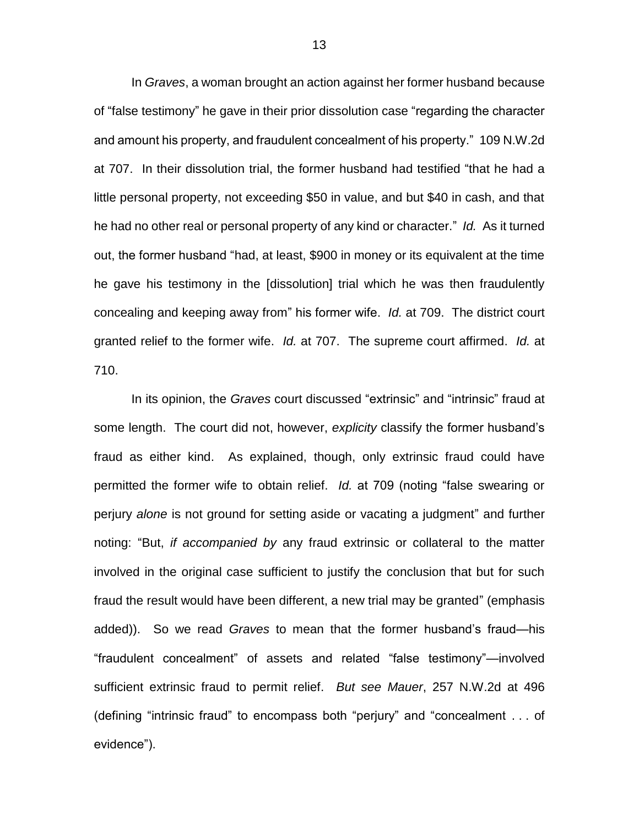In *Graves*, a woman brought an action against her former husband because of "false testimony" he gave in their prior dissolution case "regarding the character and amount his property, and fraudulent concealment of his property." 109 N.W.2d at 707. In their dissolution trial, the former husband had testified "that he had a little personal property, not exceeding \$50 in value, and but \$40 in cash, and that he had no other real or personal property of any kind or character." *Id.* As it turned out, the former husband "had, at least, \$900 in money or its equivalent at the time he gave his testimony in the [dissolution] trial which he was then fraudulently concealing and keeping away from" his former wife. *Id.* at 709. The district court granted relief to the former wife. *Id.* at 707. The supreme court affirmed. *Id.* at 710.

In its opinion, the *Graves* court discussed "extrinsic" and "intrinsic" fraud at some length. The court did not, however, *explicity* classify the former husband's fraud as either kind. As explained, though, only extrinsic fraud could have permitted the former wife to obtain relief. *Id.* at 709 (noting "false swearing or perjury *alone* is not ground for setting aside or vacating a judgment" and further noting: "But, *if accompanied by* any fraud extrinsic or collateral to the matter involved in the original case sufficient to justify the conclusion that but for such fraud the result would have been different, a new trial may be granted" (emphasis added)). So we read *Graves* to mean that the former husband's fraud—his "fraudulent concealment" of assets and related "false testimony"—involved sufficient extrinsic fraud to permit relief. *But see Mauer*, 257 N.W.2d at 496 (defining "intrinsic fraud" to encompass both "perjury" and "concealment . . . of evidence").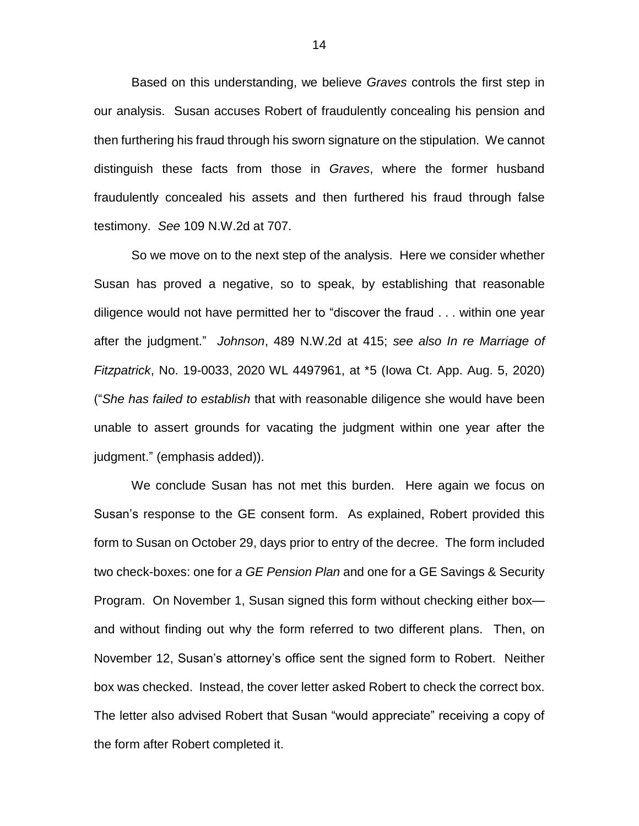Based on this understanding, we believe *Graves* controls the first step in our analysis. Susan accuses Robert of fraudulently concealing his pension and then furthering his fraud through his sworn signature on the stipulation. We cannot distinguish these facts from those in *Graves*, where the former husband fraudulently concealed his assets and then furthered his fraud through false testimony. *See* 109 N.W.2d at 707.

So we move on to the next step of the analysis. Here we consider whether Susan has proved a negative, so to speak, by establishing that reasonable diligence would not have permitted her to "discover the fraud . . . within one year after the judgment." *Johnson*, 489 N.W.2d at 415; *see also In re Marriage of Fitzpatrick*, No. 19-0033, 2020 WL 4497961, at \*5 (Iowa Ct. App. Aug. 5, 2020) ("*She has failed to establish* that with reasonable diligence she would have been unable to assert grounds for vacating the judgment within one year after the judgment." (emphasis added)).

We conclude Susan has not met this burden. Here again we focus on Susan's response to the GE consent form. As explained, Robert provided this form to Susan on October 29, days prior to entry of the decree. The form included two check-boxes: one for *a GE Pension Plan* and one for a GE Savings & Security Program. On November 1, Susan signed this form without checking either box and without finding out why the form referred to two different plans. Then, on November 12, Susan's attorney's office sent the signed form to Robert. Neither box was checked. Instead, the cover letter asked Robert to check the correct box. The letter also advised Robert that Susan "would appreciate" receiving a copy of the form after Robert completed it.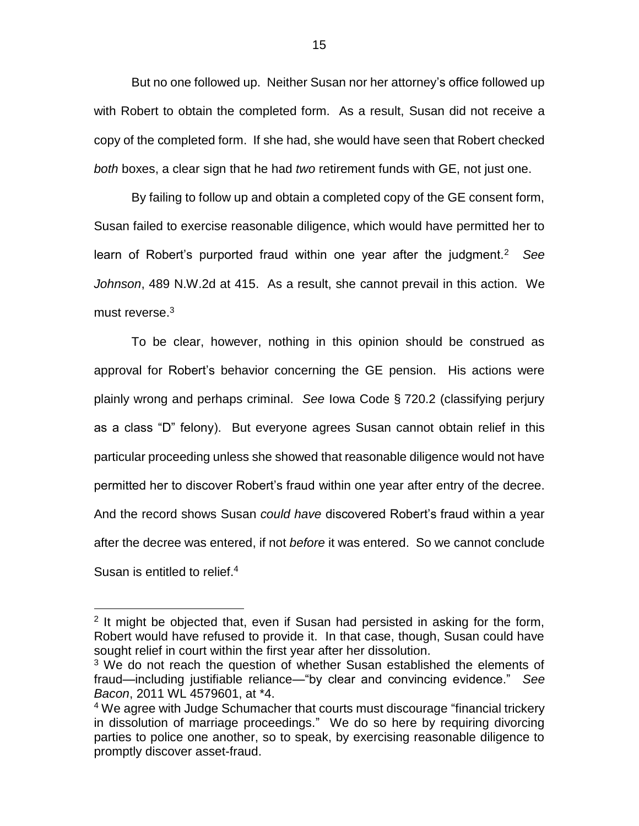But no one followed up. Neither Susan nor her attorney's office followed up with Robert to obtain the completed form. As a result, Susan did not receive a copy of the completed form. If she had, she would have seen that Robert checked *both* boxes, a clear sign that he had *two* retirement funds with GE, not just one.

By failing to follow up and obtain a completed copy of the GE consent form, Susan failed to exercise reasonable diligence, which would have permitted her to learn of Robert's purported fraud within one year after the judgment.<sup>2</sup> *See Johnson*, 489 N.W.2d at 415. As a result, she cannot prevail in this action. We must reverse.<sup>3</sup>

To be clear, however, nothing in this opinion should be construed as approval for Robert's behavior concerning the GE pension. His actions were plainly wrong and perhaps criminal. *See* Iowa Code § 720.2 (classifying perjury as a class "D" felony). But everyone agrees Susan cannot obtain relief in this particular proceeding unless she showed that reasonable diligence would not have permitted her to discover Robert's fraud within one year after entry of the decree. And the record shows Susan *could have* discovered Robert's fraud within a year after the decree was entered, if not *before* it was entered. So we cannot conclude Susan is entitled to relief.<sup>4</sup>

 $\overline{a}$ 

<sup>&</sup>lt;sup>2</sup> It might be objected that, even if Susan had persisted in asking for the form, Robert would have refused to provide it. In that case, though, Susan could have sought relief in court within the first year after her dissolution.

<sup>&</sup>lt;sup>3</sup> We do not reach the question of whether Susan established the elements of fraud—including justifiable reliance—"by clear and convincing evidence." *See Bacon*, 2011 WL 4579601, at \*4.

<sup>&</sup>lt;sup>4</sup> We agree with Judge Schumacher that courts must discourage "financial trickery in dissolution of marriage proceedings." We do so here by requiring divorcing parties to police one another, so to speak, by exercising reasonable diligence to promptly discover asset-fraud.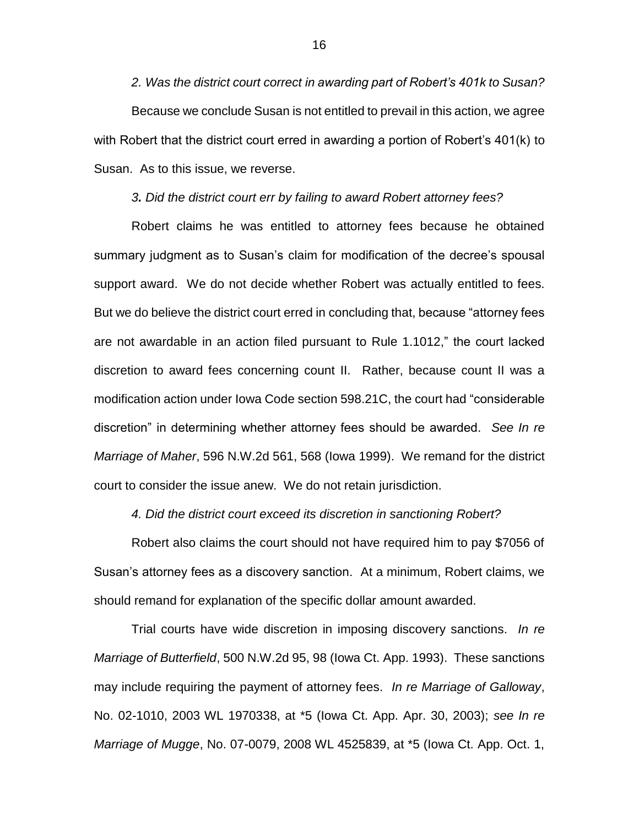*2. Was the district court correct in awarding part of Robert's 401k to Susan?* Because we conclude Susan is not entitled to prevail in this action, we agree with Robert that the district court erred in awarding a portion of Robert's 401(k) to Susan. As to this issue, we reverse.

*3. Did the district court err by failing to award Robert attorney fees?*

Robert claims he was entitled to attorney fees because he obtained summary judgment as to Susan's claim for modification of the decree's spousal support award. We do not decide whether Robert was actually entitled to fees. But we do believe the district court erred in concluding that, because "attorney fees are not awardable in an action filed pursuant to Rule 1.1012," the court lacked discretion to award fees concerning count II. Rather, because count II was a modification action under Iowa Code section 598.21C, the court had "considerable discretion" in determining whether attorney fees should be awarded. *See In re Marriage of Maher*, 596 N.W.2d 561, 568 (Iowa 1999). We remand for the district court to consider the issue anew. We do not retain jurisdiction.

*4. Did the district court exceed its discretion in sanctioning Robert?*

Robert also claims the court should not have required him to pay \$7056 of Susan's attorney fees as a discovery sanction. At a minimum, Robert claims, we should remand for explanation of the specific dollar amount awarded.

Trial courts have wide discretion in imposing discovery sanctions. *In re Marriage of Butterfield*, 500 N.W.2d 95, 98 (Iowa Ct. App. 1993). These sanctions may include requiring the payment of attorney fees. *In re Marriage of Galloway*, No. 02-1010, 2003 WL 1970338, at \*5 (Iowa Ct. App. Apr. 30, 2003); *see In re Marriage of Mugge*, No. 07-0079, 2008 WL 4525839, at \*5 (Iowa Ct. App. Oct. 1,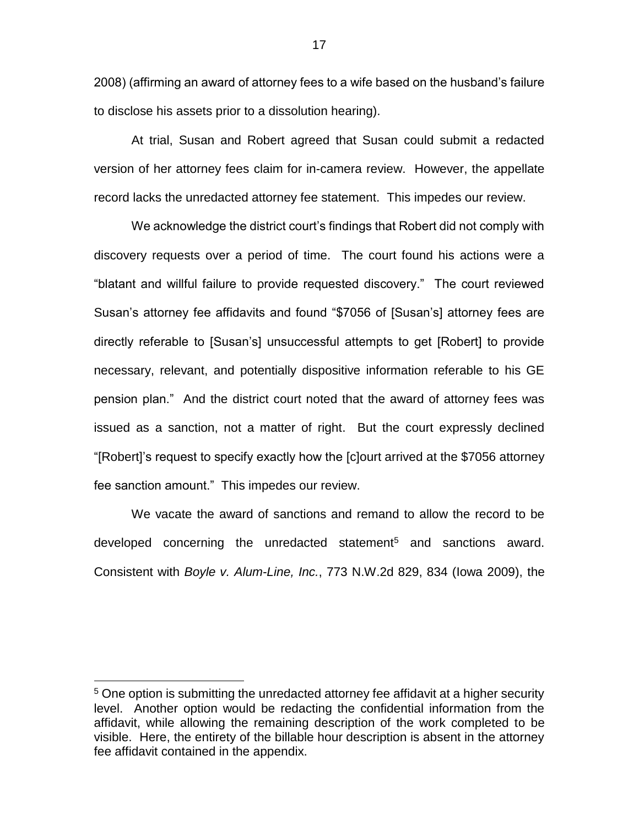2008) (affirming an award of attorney fees to a wife based on the husband's failure to disclose his assets prior to a dissolution hearing).

At trial, Susan and Robert agreed that Susan could submit a redacted version of her attorney fees claim for in-camera review. However, the appellate record lacks the unredacted attorney fee statement. This impedes our review.

We acknowledge the district court's findings that Robert did not comply with discovery requests over a period of time. The court found his actions were a "blatant and willful failure to provide requested discovery." The court reviewed Susan's attorney fee affidavits and found "\$7056 of [Susan's] attorney fees are directly referable to [Susan's] unsuccessful attempts to get [Robert] to provide necessary, relevant, and potentially dispositive information referable to his GE pension plan." And the district court noted that the award of attorney fees was issued as a sanction, not a matter of right. But the court expressly declined "[Robert]'s request to specify exactly how the [c]ourt arrived at the \$7056 attorney fee sanction amount." This impedes our review.

We vacate the award of sanctions and remand to allow the record to be developed concerning the unredacted statement<sup>5</sup> and sanctions award. Consistent with *Boyle v. Alum-Line, Inc.*, 773 N.W.2d 829, 834 (Iowa 2009), the

 $\overline{a}$ 

<sup>&</sup>lt;sup>5</sup> One option is submitting the unredacted attorney fee affidavit at a higher security level. Another option would be redacting the confidential information from the affidavit, while allowing the remaining description of the work completed to be visible. Here, the entirety of the billable hour description is absent in the attorney fee affidavit contained in the appendix.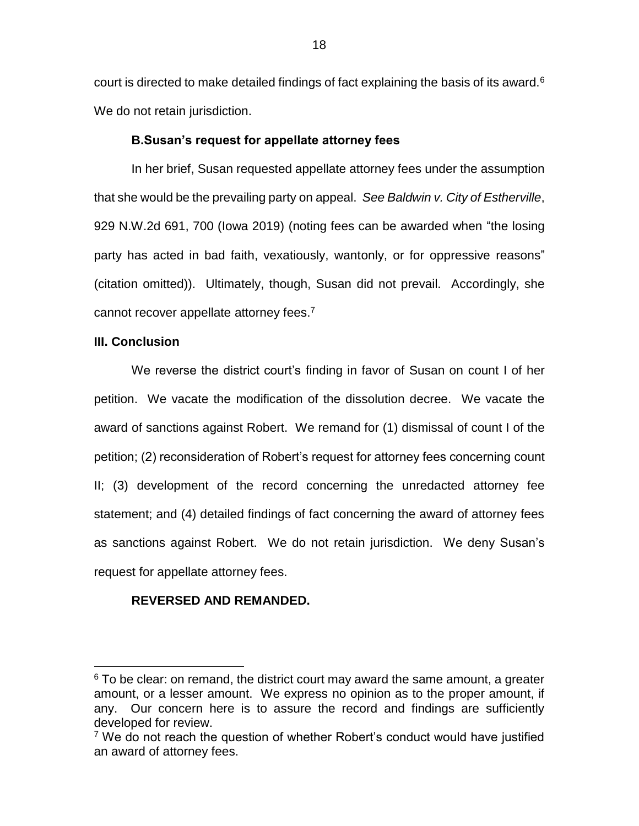court is directed to make detailed findings of fact explaining the basis of its award. $6$ We do not retain jurisdiction.

## **B.Susan's request for appellate attorney fees**

In her brief, Susan requested appellate attorney fees under the assumption that she would be the prevailing party on appeal. *See Baldwin v. City of Estherville*, 929 N.W.2d 691, 700 (Iowa 2019) (noting fees can be awarded when "the losing party has acted in bad faith, vexatiously, wantonly, or for oppressive reasons" (citation omitted)). Ultimately, though, Susan did not prevail. Accordingly, she cannot recover appellate attorney fees.<sup>7</sup>

## **III. Conclusion**

 $\overline{a}$ 

We reverse the district court's finding in favor of Susan on count I of her petition. We vacate the modification of the dissolution decree. We vacate the award of sanctions against Robert. We remand for (1) dismissal of count I of the petition; (2) reconsideration of Robert's request for attorney fees concerning count II; (3) development of the record concerning the unredacted attorney fee statement; and (4) detailed findings of fact concerning the award of attorney fees as sanctions against Robert. We do not retain jurisdiction. We deny Susan's request for appellate attorney fees.

## **REVERSED AND REMANDED.**

 $6$  To be clear: on remand, the district court may award the same amount, a greater amount, or a lesser amount. We express no opinion as to the proper amount, if any. Our concern here is to assure the record and findings are sufficiently developed for review.

 $7$  We do not reach the question of whether Robert's conduct would have justified an award of attorney fees.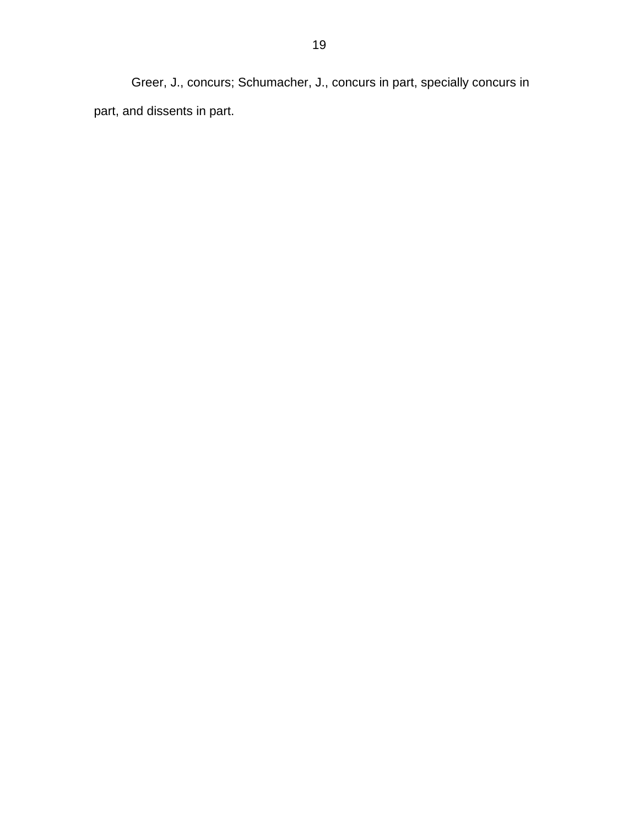Greer, J., concurs; Schumacher, J., concurs in part, specially concurs in part, and dissents in part.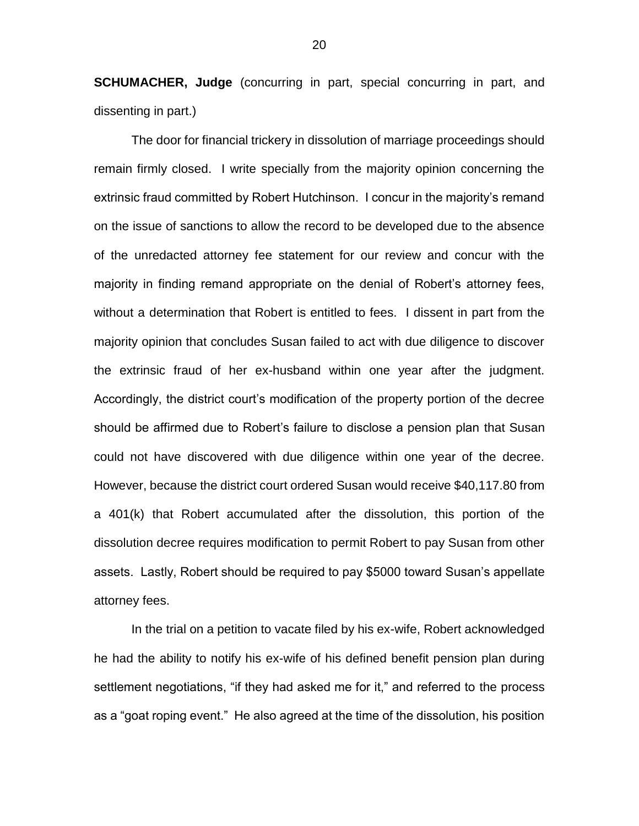**SCHUMACHER, Judge** (concurring in part, special concurring in part, and dissenting in part.)

The door for financial trickery in dissolution of marriage proceedings should remain firmly closed. I write specially from the majority opinion concerning the extrinsic fraud committed by Robert Hutchinson. I concur in the majority's remand on the issue of sanctions to allow the record to be developed due to the absence of the unredacted attorney fee statement for our review and concur with the majority in finding remand appropriate on the denial of Robert's attorney fees, without a determination that Robert is entitled to fees. I dissent in part from the majority opinion that concludes Susan failed to act with due diligence to discover the extrinsic fraud of her ex-husband within one year after the judgment. Accordingly, the district court's modification of the property portion of the decree should be affirmed due to Robert's failure to disclose a pension plan that Susan could not have discovered with due diligence within one year of the decree. However, because the district court ordered Susan would receive \$40,117.80 from a 401(k) that Robert accumulated after the dissolution, this portion of the dissolution decree requires modification to permit Robert to pay Susan from other assets. Lastly, Robert should be required to pay \$5000 toward Susan's appellate attorney fees.

In the trial on a petition to vacate filed by his ex-wife, Robert acknowledged he had the ability to notify his ex-wife of his defined benefit pension plan during settlement negotiations, "if they had asked me for it," and referred to the process as a "goat roping event." He also agreed at the time of the dissolution, his position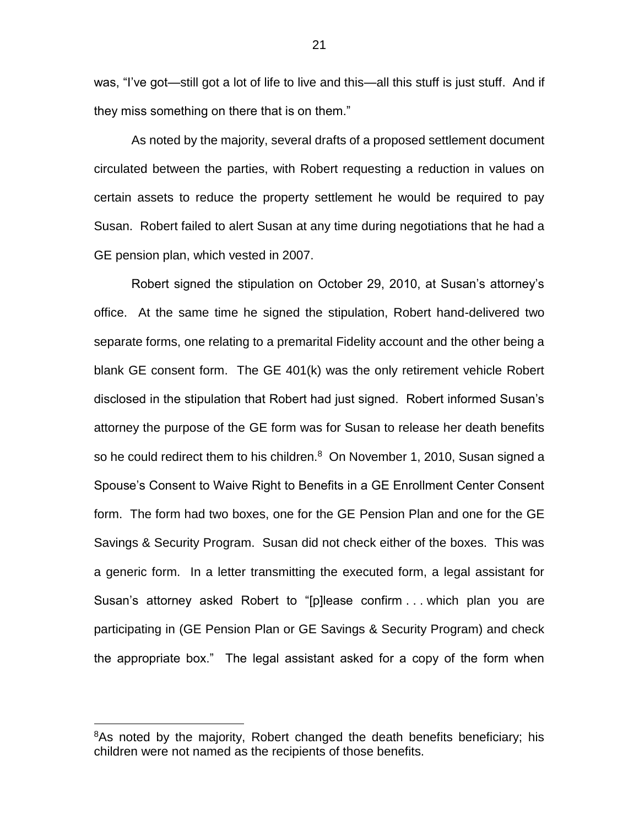was, "I've got—still got a lot of life to live and this—all this stuff is just stuff. And if they miss something on there that is on them."

As noted by the majority, several drafts of a proposed settlement document circulated between the parties, with Robert requesting a reduction in values on certain assets to reduce the property settlement he would be required to pay Susan. Robert failed to alert Susan at any time during negotiations that he had a GE pension plan, which vested in 2007.

Robert signed the stipulation on October 29, 2010, at Susan's attorney's office. At the same time he signed the stipulation, Robert hand-delivered two separate forms, one relating to a premarital Fidelity account and the other being a blank GE consent form. The GE 401(k) was the only retirement vehicle Robert disclosed in the stipulation that Robert had just signed. Robert informed Susan's attorney the purpose of the GE form was for Susan to release her death benefits so he could redirect them to his children. $8$  On November 1, 2010, Susan signed a Spouse's Consent to Waive Right to Benefits in a GE Enrollment Center Consent form. The form had two boxes, one for the GE Pension Plan and one for the GE Savings & Security Program. Susan did not check either of the boxes. This was a generic form. In a letter transmitting the executed form, a legal assistant for Susan's attorney asked Robert to "[p]lease confirm . . . which plan you are participating in (GE Pension Plan or GE Savings & Security Program) and check the appropriate box." The legal assistant asked for a copy of the form when

 $\overline{a}$ 

<sup>&</sup>lt;sup>8</sup>As noted by the majority, Robert changed the death benefits beneficiary; his children were not named as the recipients of those benefits.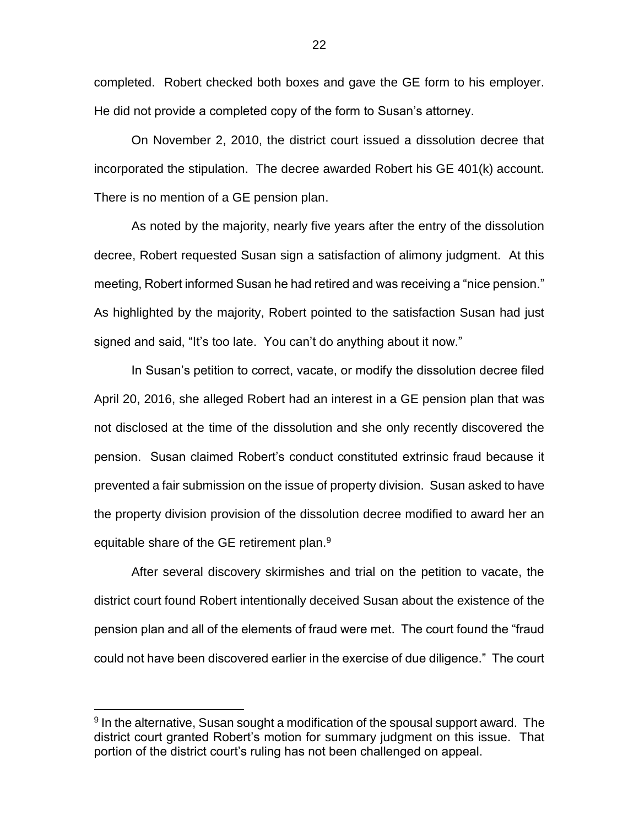completed. Robert checked both boxes and gave the GE form to his employer. He did not provide a completed copy of the form to Susan's attorney.

On November 2, 2010, the district court issued a dissolution decree that incorporated the stipulation. The decree awarded Robert his GE 401(k) account. There is no mention of a GE pension plan.

As noted by the majority, nearly five years after the entry of the dissolution decree, Robert requested Susan sign a satisfaction of alimony judgment. At this meeting, Robert informed Susan he had retired and was receiving a "nice pension." As highlighted by the majority, Robert pointed to the satisfaction Susan had just signed and said, "It's too late. You can't do anything about it now."

In Susan's petition to correct, vacate, or modify the dissolution decree filed April 20, 2016, she alleged Robert had an interest in a GE pension plan that was not disclosed at the time of the dissolution and she only recently discovered the pension. Susan claimed Robert's conduct constituted extrinsic fraud because it prevented a fair submission on the issue of property division. Susan asked to have the property division provision of the dissolution decree modified to award her an equitable share of the GE retirement plan.<sup>9</sup>

After several discovery skirmishes and trial on the petition to vacate, the district court found Robert intentionally deceived Susan about the existence of the pension plan and all of the elements of fraud were met. The court found the "fraud could not have been discovered earlier in the exercise of due diligence." The court

 $\overline{a}$ 

<sup>&</sup>lt;sup>9</sup> In the alternative, Susan sought a modification of the spousal support award. The district court granted Robert's motion for summary judgment on this issue. That portion of the district court's ruling has not been challenged on appeal.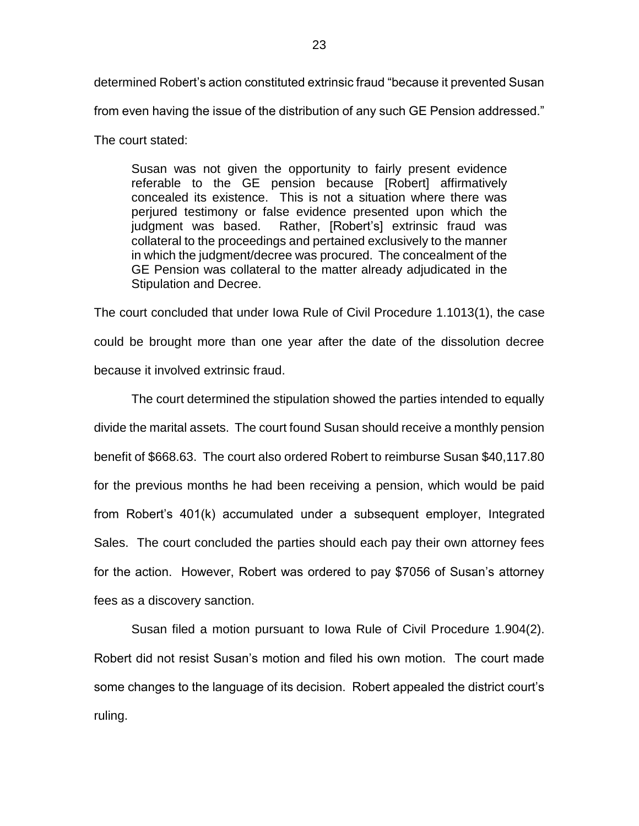determined Robert's action constituted extrinsic fraud "because it prevented Susan from even having the issue of the distribution of any such GE Pension addressed."

The court stated:

Susan was not given the opportunity to fairly present evidence referable to the GE pension because [Robert] affirmatively concealed its existence. This is not a situation where there was perjured testimony or false evidence presented upon which the judgment was based. Rather, [Robert's] extrinsic fraud was collateral to the proceedings and pertained exclusively to the manner in which the judgment/decree was procured. The concealment of the GE Pension was collateral to the matter already adjudicated in the Stipulation and Decree.

The court concluded that under Iowa Rule of Civil Procedure 1.1013(1), the case could be brought more than one year after the date of the dissolution decree because it involved extrinsic fraud.

The court determined the stipulation showed the parties intended to equally divide the marital assets. The court found Susan should receive a monthly pension benefit of \$668.63. The court also ordered Robert to reimburse Susan \$40,117.80 for the previous months he had been receiving a pension, which would be paid from Robert's 401(k) accumulated under a subsequent employer, Integrated Sales. The court concluded the parties should each pay their own attorney fees for the action. However, Robert was ordered to pay \$7056 of Susan's attorney fees as a discovery sanction.

Susan filed a motion pursuant to Iowa Rule of Civil Procedure 1.904(2). Robert did not resist Susan's motion and filed his own motion. The court made some changes to the language of its decision. Robert appealed the district court's ruling.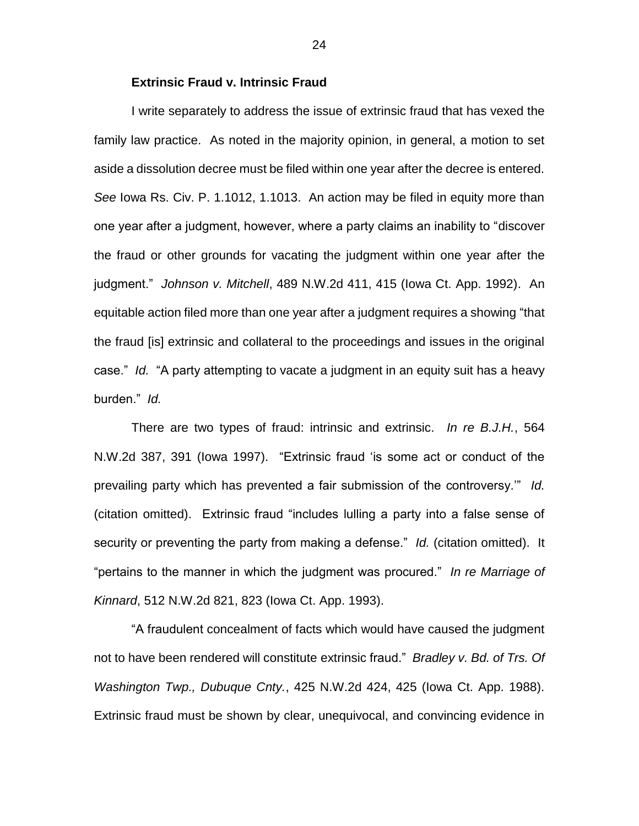### **Extrinsic Fraud v. Intrinsic Fraud**

I write separately to address the issue of extrinsic fraud that has vexed the family law practice. As noted in the majority opinion, in general, a motion to set aside a dissolution decree must be filed within one year after the decree is entered. *See* Iowa Rs. Civ. P. 1.1012, 1.1013. An action may be filed in equity more than one year after a judgment, however, where a party claims an inability to "discover the fraud or other grounds for vacating the judgment within one year after the judgment." *Johnson v. Mitchell*, 489 N.W.2d 411, 415 (Iowa Ct. App. 1992). An equitable action filed more than one year after a judgment requires a showing "that the fraud [is] extrinsic and collateral to the proceedings and issues in the original case." *Id.* "A party attempting to vacate a judgment in an equity suit has a heavy burden." *Id.*

There are two types of fraud: intrinsic and extrinsic. *In re B.J.H.*, 564 N.W.2d 387, 391 (Iowa 1997). "Extrinsic fraud 'is some act or conduct of the prevailing party which has prevented a fair submission of the controversy.'" *Id.* (citation omitted). Extrinsic fraud "includes lulling a party into a false sense of security or preventing the party from making a defense." *Id.* (citation omitted). It "pertains to the manner in which the judgment was procured." *In re Marriage of Kinnard*, 512 N.W.2d 821, 823 (Iowa Ct. App. 1993).

"A fraudulent concealment of facts which would have caused the judgment not to have been rendered will constitute extrinsic fraud." *Bradley v. Bd. of Trs. Of Washington Twp., Dubuque Cnty.*, 425 N.W.2d 424, 425 (Iowa Ct. App. 1988). Extrinsic fraud must be shown by clear, unequivocal, and convincing evidence in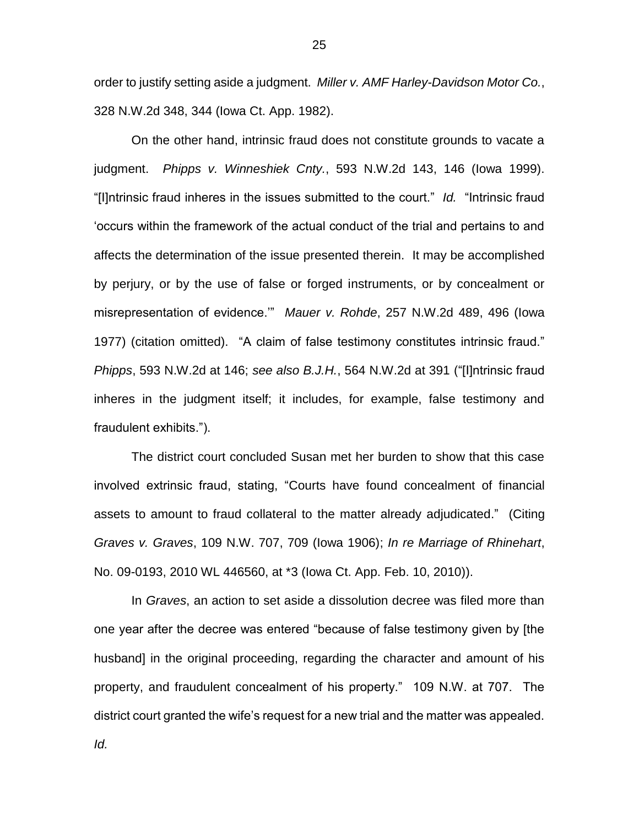order to justify setting aside a judgment. *Miller v. AMF Harley-Davidson Motor Co.*, 328 N.W.2d 348, 344 (Iowa Ct. App. 1982).

On the other hand, intrinsic fraud does not constitute grounds to vacate a judgment. *Phipps v. Winneshiek Cnty.*, 593 N.W.2d 143, 146 (Iowa 1999). "[I]ntrinsic fraud inheres in the issues submitted to the court." *Id.* "Intrinsic fraud 'occurs within the framework of the actual conduct of the trial and pertains to and affects the determination of the issue presented therein. It may be accomplished by perjury, or by the use of false or forged instruments, or by concealment or misrepresentation of evidence.'" *Mauer v. Rohde*, 257 N.W.2d 489, 496 (Iowa 1977) (citation omitted). "A claim of false testimony constitutes intrinsic fraud." *Phipps*, 593 N.W.2d at 146; *see also B.J.H.*, 564 N.W.2d at 391 ("[I]ntrinsic fraud inheres in the judgment itself; it includes, for example, false testimony and fraudulent exhibits.").

The district court concluded Susan met her burden to show that this case involved extrinsic fraud, stating, "Courts have found concealment of financial assets to amount to fraud collateral to the matter already adjudicated." (Citing *Graves v. Graves*, 109 N.W. 707, 709 (Iowa 1906); *In re Marriage of Rhinehart*, No. 09-0193, 2010 WL 446560, at \*3 (Iowa Ct. App. Feb. 10, 2010)).

In *Graves*, an action to set aside a dissolution decree was filed more than one year after the decree was entered "because of false testimony given by [the husband] in the original proceeding, regarding the character and amount of his property, and fraudulent concealment of his property." 109 N.W. at 707. The district court granted the wife's request for a new trial and the matter was appealed.

*Id.*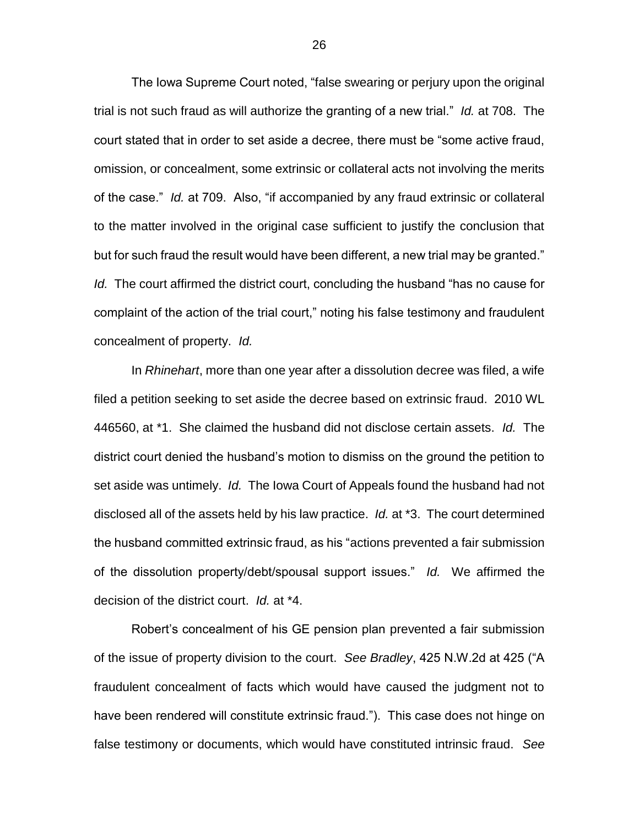The Iowa Supreme Court noted, "false swearing or perjury upon the original trial is not such fraud as will authorize the granting of a new trial." *Id.* at 708. The court stated that in order to set aside a decree, there must be "some active fraud, omission, or concealment, some extrinsic or collateral acts not involving the merits of the case." *Id.* at 709. Also, "if accompanied by any fraud extrinsic or collateral to the matter involved in the original case sufficient to justify the conclusion that but for such fraud the result would have been different, a new trial may be granted." *Id.* The court affirmed the district court, concluding the husband "has no cause for complaint of the action of the trial court," noting his false testimony and fraudulent concealment of property. *Id.*

In *Rhinehart*, more than one year after a dissolution decree was filed, a wife filed a petition seeking to set aside the decree based on extrinsic fraud. 2010 WL 446560, at \*1. She claimed the husband did not disclose certain assets. *Id.* The district court denied the husband's motion to dismiss on the ground the petition to set aside was untimely. *Id.* The Iowa Court of Appeals found the husband had not disclosed all of the assets held by his law practice. *Id.* at \*3. The court determined the husband committed extrinsic fraud, as his "actions prevented a fair submission of the dissolution property/debt/spousal support issues." *Id.* We affirmed the decision of the district court. *Id.* at \*4.

Robert's concealment of his GE pension plan prevented a fair submission of the issue of property division to the court. *See Bradley*, 425 N.W.2d at 425 ("A fraudulent concealment of facts which would have caused the judgment not to have been rendered will constitute extrinsic fraud."). This case does not hinge on false testimony or documents, which would have constituted intrinsic fraud. *See*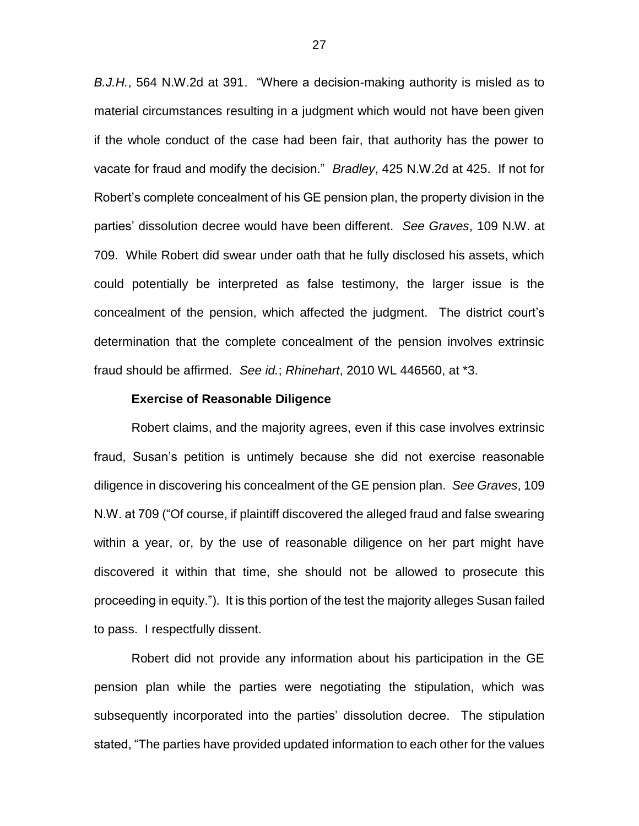*B.J.H.*, 564 N.W.2d at 391. "Where a decision-making authority is misled as to material circumstances resulting in a judgment which would not have been given if the whole conduct of the case had been fair, that authority has the power to vacate for fraud and modify the decision." *Bradley*, 425 N.W.2d at 425. If not for Robert's complete concealment of his GE pension plan, the property division in the parties' dissolution decree would have been different. *See Graves*, 109 N.W. at 709. While Robert did swear under oath that he fully disclosed his assets, which could potentially be interpreted as false testimony, the larger issue is the concealment of the pension, which affected the judgment. The district court's determination that the complete concealment of the pension involves extrinsic fraud should be affirmed. *See id.*; *Rhinehart*, 2010 WL 446560, at \*3.

#### **Exercise of Reasonable Diligence**

Robert claims, and the majority agrees, even if this case involves extrinsic fraud, Susan's petition is untimely because she did not exercise reasonable diligence in discovering his concealment of the GE pension plan. *See Graves*, 109 N.W. at 709 ("Of course, if plaintiff discovered the alleged fraud and false swearing within a year, or, by the use of reasonable diligence on her part might have discovered it within that time, she should not be allowed to prosecute this proceeding in equity."). It is this portion of the test the majority alleges Susan failed to pass. I respectfully dissent.

Robert did not provide any information about his participation in the GE pension plan while the parties were negotiating the stipulation, which was subsequently incorporated into the parties' dissolution decree. The stipulation stated, "The parties have provided updated information to each other for the values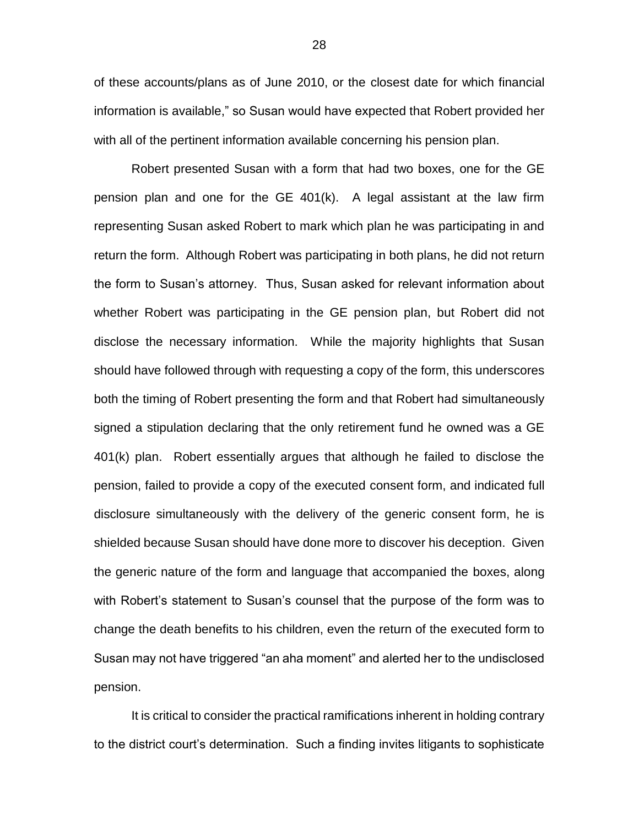of these accounts/plans as of June 2010, or the closest date for which financial information is available," so Susan would have expected that Robert provided her with all of the pertinent information available concerning his pension plan.

Robert presented Susan with a form that had two boxes, one for the GE pension plan and one for the GE 401(k). A legal assistant at the law firm representing Susan asked Robert to mark which plan he was participating in and return the form. Although Robert was participating in both plans, he did not return the form to Susan's attorney. Thus, Susan asked for relevant information about whether Robert was participating in the GE pension plan, but Robert did not disclose the necessary information. While the majority highlights that Susan should have followed through with requesting a copy of the form, this underscores both the timing of Robert presenting the form and that Robert had simultaneously signed a stipulation declaring that the only retirement fund he owned was a GE 401(k) plan. Robert essentially argues that although he failed to disclose the pension, failed to provide a copy of the executed consent form, and indicated full disclosure simultaneously with the delivery of the generic consent form, he is shielded because Susan should have done more to discover his deception. Given the generic nature of the form and language that accompanied the boxes, along with Robert's statement to Susan's counsel that the purpose of the form was to change the death benefits to his children, even the return of the executed form to Susan may not have triggered "an aha moment" and alerted her to the undisclosed pension.

It is critical to consider the practical ramifications inherent in holding contrary to the district court's determination. Such a finding invites litigants to sophisticate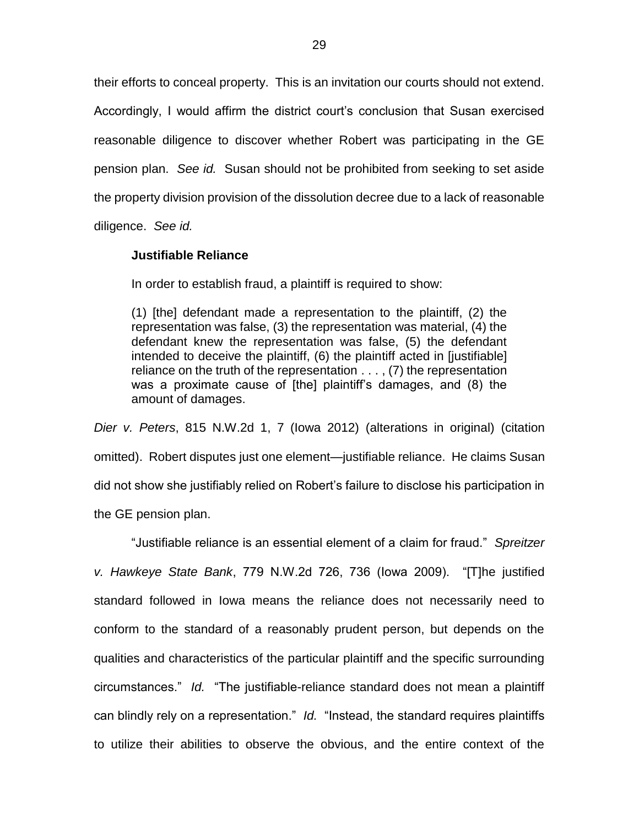their efforts to conceal property. This is an invitation our courts should not extend. Accordingly, I would affirm the district court's conclusion that Susan exercised reasonable diligence to discover whether Robert was participating in the GE pension plan. *See id.* Susan should not be prohibited from seeking to set aside the property division provision of the dissolution decree due to a lack of reasonable

diligence. *See id.*

### **Justifiable Reliance**

In order to establish fraud, a plaintiff is required to show:

(1) [the] defendant made a representation to the plaintiff, (2) the representation was false, (3) the representation was material, (4) the defendant knew the representation was false, (5) the defendant intended to deceive the plaintiff, (6) the plaintiff acted in [justifiable] reliance on the truth of the representation . . . , (7) the representation was a proximate cause of [the] plaintiff's damages, and (8) the amount of damages.

*Dier v. Peters*, 815 N.W.2d 1, 7 (Iowa 2012) (alterations in original) (citation omitted). Robert disputes just one element—justifiable reliance. He claims Susan did not show she justifiably relied on Robert's failure to disclose his participation in the GE pension plan.

"Justifiable reliance is an essential element of a claim for fraud." *Spreitzer v. Hawkeye State Bank*, 779 N.W.2d 726, 736 (Iowa 2009). "[T]he justified standard followed in Iowa means the reliance does not necessarily need to conform to the standard of a reasonably prudent person, but depends on the qualities and characteristics of the particular plaintiff and the specific surrounding circumstances." *Id.* "The justifiable-reliance standard does not mean a plaintiff can blindly rely on a representation." *Id.* "Instead, the standard requires plaintiffs to utilize their abilities to observe the obvious, and the entire context of the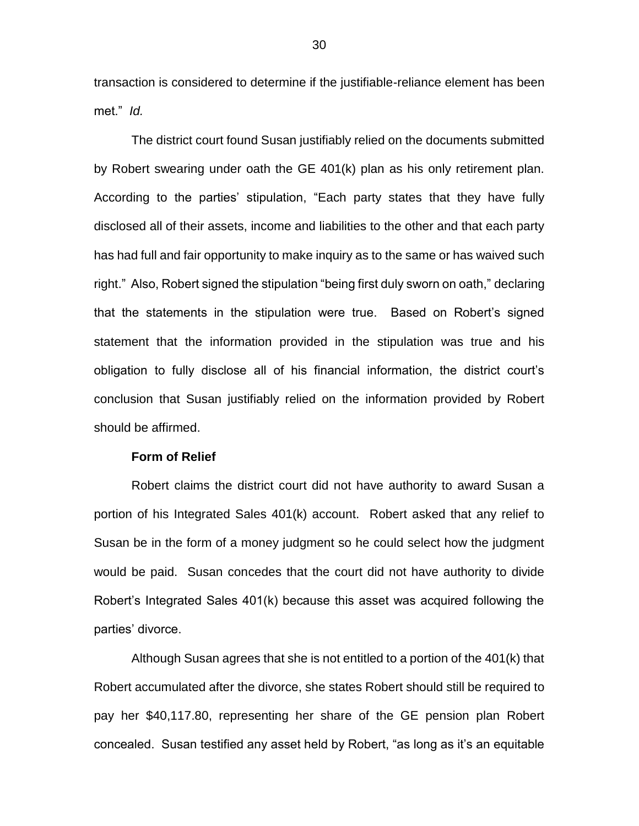transaction is considered to determine if the justifiable-reliance element has been met." *Id.*

The district court found Susan justifiably relied on the documents submitted by Robert swearing under oath the GE 401(k) plan as his only retirement plan. According to the parties' stipulation, "Each party states that they have fully disclosed all of their assets, income and liabilities to the other and that each party has had full and fair opportunity to make inquiry as to the same or has waived such right." Also, Robert signed the stipulation "being first duly sworn on oath," declaring that the statements in the stipulation were true. Based on Robert's signed statement that the information provided in the stipulation was true and his obligation to fully disclose all of his financial information, the district court's conclusion that Susan justifiably relied on the information provided by Robert should be affirmed.

#### **Form of Relief**

Robert claims the district court did not have authority to award Susan a portion of his Integrated Sales 401(k) account. Robert asked that any relief to Susan be in the form of a money judgment so he could select how the judgment would be paid. Susan concedes that the court did not have authority to divide Robert's Integrated Sales 401(k) because this asset was acquired following the parties' divorce.

Although Susan agrees that she is not entitled to a portion of the 401(k) that Robert accumulated after the divorce, she states Robert should still be required to pay her \$40,117.80, representing her share of the GE pension plan Robert concealed. Susan testified any asset held by Robert, "as long as it's an equitable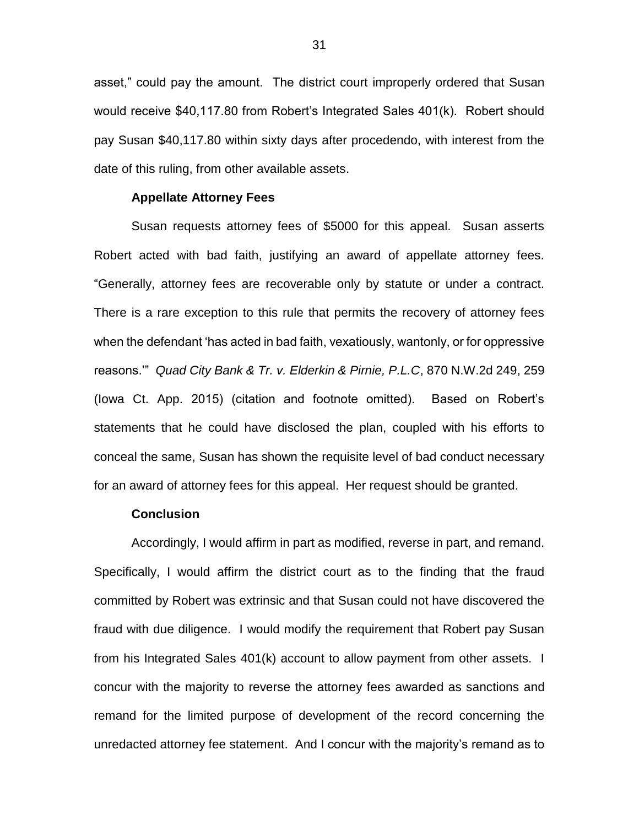asset," could pay the amount. The district court improperly ordered that Susan would receive \$40,117.80 from Robert's Integrated Sales 401(k). Robert should pay Susan \$40,117.80 within sixty days after procedendo, with interest from the date of this ruling, from other available assets.

#### **Appellate Attorney Fees**

Susan requests attorney fees of \$5000 for this appeal. Susan asserts Robert acted with bad faith, justifying an award of appellate attorney fees. "Generally, attorney fees are recoverable only by statute or under a contract. There is a rare exception to this rule that permits the recovery of attorney fees when the defendant 'has acted in bad faith, vexatiously, wantonly, or for oppressive reasons.'" *Quad City Bank & Tr. v. Elderkin & Pirnie, P.L.C*, 870 N.W.2d 249, 259 (Iowa Ct. App. 2015) (citation and footnote omitted). Based on Robert's statements that he could have disclosed the plan, coupled with his efforts to conceal the same, Susan has shown the requisite level of bad conduct necessary for an award of attorney fees for this appeal. Her request should be granted.

### **Conclusion**

Accordingly, I would affirm in part as modified, reverse in part, and remand. Specifically, I would affirm the district court as to the finding that the fraud committed by Robert was extrinsic and that Susan could not have discovered the fraud with due diligence. I would modify the requirement that Robert pay Susan from his Integrated Sales 401(k) account to allow payment from other assets. I concur with the majority to reverse the attorney fees awarded as sanctions and remand for the limited purpose of development of the record concerning the unredacted attorney fee statement. And I concur with the majority's remand as to